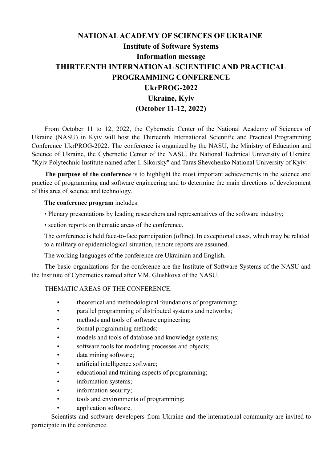# **NATIONALACADEMY OF SCIENCES OF UKRAINE Institute of Software Systems Information message THIRTEENTH INTERNATIONAL SCIENTIFIC AND PRACTICAL PROGRAMMING CONFERENCE UkrPROG-2022 Ukraine, Kyiv (October 11-12, 2022)**

From October 11 to 12, 2022, the Cybernetic Center of the National Academy of Sciences of Ukraine (NASU) in Kyiv will host the Thirteenth International Scientific and Practical Programming Conference UkrPROG-2022. The conference is organized by the NASU, the Ministry of Education and Science of Ukraine, the Cybernetic Center of the NASU, the National Technical University of Ukraine "Kyiv Polytechnic Institute named after I. Sikorsky" and Taras Shevchenko National University of Kyiv.

**The purpose of the conference** is to highlight the most important achievements in the science and practice of programming and software engineering and to determine the main directions of development of this area of science and technology.

## **The conference program** includes:

- Plenary presentations by leading researchers and representatives of the software industry;
- section reports on thematic areas of the conference.

The conference is held face-to-face participation (оfline). In exceptional cases, which may be related to a military or epidemiological situation, remote reports are assumed.

The working languages of the conference are Ukrainian and English.

The basic organizations for the conference are the Institute of Software Systems of the NASU and the Institute of Cybernetics named after V.M. Glushkova of the NASU.

## THEMATIC AREAS OF THE CONFERENCE:

- theoretical and methodological foundations of programming;
- parallel programming of distributed systems and networks;
- methods and tools of software engineering;
- formal programming methods;
- models and tools of database and knowledge systems;
- software tools for modeling processes and objects;
- data mining software;
- artificial intelligence software;
- educational and training aspects of programming;
- information systems;
- information security;
- tools and environments of programming;
- application software.

Scientists and software developers from Ukraine and the international community are invited to participate in the conference.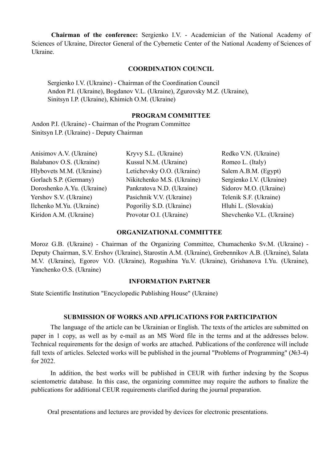**Chairman of the conference:** Sergienko I.V. - Academician of the National Academy of Sciences of Ukraine, Director General of the Cybernetic Center of the National Academy of Sciences of Ukraine.

#### **COORDINATION COUNCIL**

Sergienko I.V. (Ukraine) - Chairman of the Coordination Council Andon P.I. (Ukraine), Bogdanov V.L. (Ukraine), Zgurovsky M.Z. (Ukraine), Sinitsyn I.P. (Ukraine), Khimich O.M. (Ukraine)

#### **PROGRAM COMMITTEE**

Andon P.I. (Ukraine) - Chairman of the Program Committee Sinitsyn I.P. (Ukraine) - Deputy Chairman

Anisimov A.V. (Ukraine) Balabanov O.S. (Ukraine) Hlybovets M.M. (Ukraine) Gorlach S.P. (Germany) Doroshenko A.Yu. (Ukraine) Yershov S.V. (Ukraine) Ilchenko M.Yu. (Ukraine) Kiridon A.M. (Ukraine)

Kryvy S.L. (Ukraine) Kussul N.M. (Ukraine) Letichevsky O.O. (Ukraine) Nikitchenko M.S. (Ukraine) Pankratova N.D. (Ukraine) Pasichnik V.V. (Ukraine) Pogoriliy S.D. (Ukraine) Provotar O.I. (Ukraine)

Redko V.N. (Ukraine) Romeo L. (Italy) Salem A.B.M. (Egypt) Sergienko I.V. (Ukraine) Sidorov M.O. (Ukraine) Telenik S.F. (Ukraine) Hluhi L. (Slovakia) Shevchenko V.L. (Ukraine)

## **ORGANIZATIONAL COMMITTEE**

Moroz G.B. (Ukraine) - Chairman of the Organizing Committee, Chumachenko Sv.M. (Ukraine) - Deputy Chairman, S.V. Ershov (Ukraine), Starostin A.M. (Ukraine), Grebennikov A.B. (Ukraine), Salata M.V. (Ukraine), Egorov V.O. (Ukraine), Rogushina Yu.V. (Ukraine), Grishanova I.Yu. (Ukraine), Yanchenko O.S. (Ukraine)

### **INFORMATION PARTNER**

State Scientific Institution "Encyclopedic Publishing House" (Ukraine)

## **SUBMISSION OF WORKS AND APPLICATIONS FOR PARTICIPATION**

The language of the article can be Ukrainian or English. The texts of the articles are submitted on paper in 1 copy, as well as by e-mail as an MS Word file in the terms and at the addresses below. Technical requirements for the design of works are attached. Publications of the conference will include full texts of articles. Selected works will be published in the journal "Problems of Programming" (№3-4) for 2022.

In addition, the best works will be published in CEUR with further indexing by the Scopus scientometric database. In this case, the organizing committee may require the authors to finalize the publications for additional CEUR requirements clarified during the journal preparation.

Oral presentations and lectures are provided by devices for electronic presentations.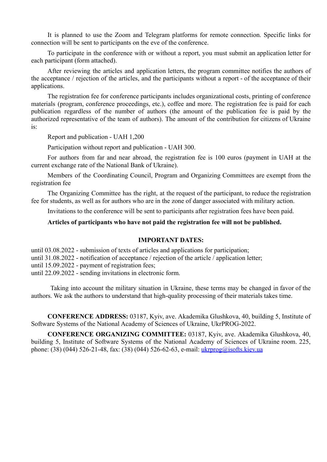It is planned to use the Zoom and Telegram platforms for remote connection. Specific links for connection will be sent to participants on the eve of the conference.

To participate in the conference with or without a report, you must submit an application letter for each participant (form attached).

After reviewing the articles and application letters, the program committee notifies the authors of the acceptance / rejection of the articles, and the participants without a report - of the acceptance of their applications.

The registration fee for conference participants includes organizational costs, printing of conference materials (program, conference proceedings, etc.), coffee and more. The registration fee is paid for each publication regardless of the number of authors (the amount of the publication fee is paid by the authorized representative of the team of authors). The amount of the contribution for citizens of Ukraine is:

Report and publication - UAH 1,200

Participation without report and publication - UAH 300.

For authors from far and near abroad, the registration fee is 100 euros (payment in UAH at the current exchange rate of the National Bank of Ukraine).

Members of the Coordinating Council, Program and Organizing Committees are exempt from the registration fee

The Organizing Committee has the right, at the request of the participant, to reduce the registration fee for students, as well as for authors who are in the zone of danger associated with military action.

Invitations to the conference will be sent to participants after registration fees have been paid.

#### **Articles of participants who have not paid the registration fee will not be published.**

## **IMPORTANT DATES:**

until 03.08.2022 - submission of texts of articles and applications for participation;

until 31.08.2022 - notification of acceptance / rejection of the article / application letter;

until 15.09.2022 - payment of registration fees;

until 22.09.2022 - sending invitations in electronic form.

Taking into account the military situation in Ukraine, these terms may be changed in favor of the authors. We ask the authors to understand that high-quality processing of their materials takes time.

**CONFERENCE ADDRESS:** 03187, Kyiv, ave. Akademika Glushkova, 40, building 5, Institute of Software Systems of the National Academy of Sciences of Ukraine, UkrPROG-2022.

**CONFERENCE ORGANIZING COMMITTEE:** 03187, Kyiv, ave. Akademika Glushkova, 40, building 5, Institute of Software Systems of the National Academy of Sciences of Ukraine room. 225, phone: (38) (044) 526-21-48, fax: (38) (044) 526-62-63, e-mail: [ukrprog@isofts.kiev.ua](mailto:ukrprog@isofts.kiev.ua)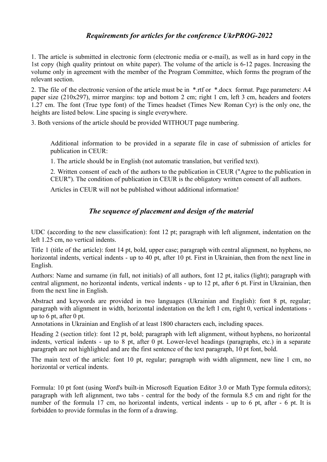## *Requirements for articles for the conference UkrPROG-2022*

1. The article is submitted in electronic form (electronic media or e-mail), as well as in hard copy in the 1st copy (high quality printout on white paper). The volume of the article is 6-12 pages. Increasing the volume only in agreement with the member of the Program Committee, which forms the program of the relevant section.

2. The file of the electronic version of the article must be in \*.rtf or \*.docx format. Page parameters: A4 paper size (210x297), mirror margins: top and bottom 2 cm; right 1 cm, left 3 cm, headers and footers 1.27 cm. The font (True type font) of the Times headset (Times New Roman Cyr) is the only one, the heights are listed below. Line spacing is single everywhere.

3. Both versions of the article should be provided WITHOUT page numbering.

Additional information to be provided in a separate file in case of submission of articles for publication in CEUR:

1. The article should be in English (not automatic translation, but verified text).

2. Written consent of each of the authors to the publication in CEUR ("Agree to the publication in CEUR"). The condition of publication in CEUR is the obligatory written consent of all authors.

Articles in CEUR will not be published without additional information!

## *The sequence of placement and design of the material*

UDC (according to the new classification): font 12 pt; paragraph with left alignment, indentation on the left 1.25 cm, no vertical indents.

Title 1 (title of the article): font 14 pt, bold, upper case; paragraph with central alignment, no hyphens, no horizontal indents, vertical indents - up to 40 pt, after 10 pt. First in Ukrainian, then from the next line in English.

Authors: Name and surname (in full, not initials) of all authors, font 12 pt, italics (light); paragraph with central alignment, no horizontal indents, vertical indents - up to 12 pt, after 6 pt. First in Ukrainian, then from the next line in English.

Abstract and keywords are provided in two languages (Ukrainian and English): font 8 pt, regular; paragraph with alignment in width, horizontal indentation on the left 1 cm, right 0, vertical indentations up to 6 pt, after 0 pt.

Annotations in Ukrainian and English of at least 1800 characters each, including spaces.

Heading 2 (section title): font 12 pt, bold; paragraph with left alignment, without hyphens, no horizontal indents, vertical indents - up to 8 pt, after 0 pt. Lower-level headings (paragraphs, etc.) in a separate paragraph are not highlighted and are the first sentence of the text paragraph, 10 pt font, bold.

The main text of the article: font 10 pt, regular; paragraph with width alignment, new line 1 cm, no horizontal or vertical indents.

Formula: 10 pt font (using Word's built-in Microsoft Equation Editor 3.0 or Math Type formula editors); paragraph with left alignment, two tabs - central for the body of the formula 8.5 cm and right for the number of the formula 17 cm, no horizontal indents, vertical indents - up to 6 pt, after - 6 pt. It is forbidden to provide formulas in the form of a drawing.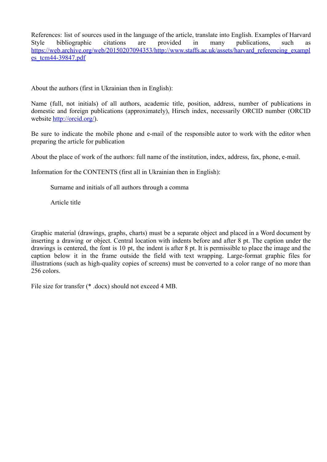References: list of sources used in the language of the article, translate into English. Examples of Harvard Style bibliographic citations are provided in many publications, such as [https://web.archive.org/web/20150207094353/http://www.staffs.ac.uk/assets/harvard\\_referencing\\_exampl](https://web.archive.org/web/20150207094353/http://www.staffs.ac.uk/assets/harvard_referencing_examples_tcm44-39847.pdf) [es\\_tcm44-39847.pdf](https://web.archive.org/web/20150207094353/http://www.staffs.ac.uk/assets/harvard_referencing_examples_tcm44-39847.pdf)

About the authors (first in Ukrainian then in English):

Name (full, not initials) of all authors, academic title, position, address, number of publications in domestic and foreign publications (approximately), Hirsch index, necessarily ORCID number (ORCID website [http://orcid.org/\)](http://orcid.org/).

Be sure to indicate the mobile phone and e-mail of the responsible autor to work with the editor when preparing the article for publication

About the place of work of the authors: full name of the institution, index, address, fax, phone, e-mail.

Information for the CONTENTS (first all in Ukrainian then in English):

Surname and initials of all authors through a comma

Article title

Graphic material (drawings, graphs, charts) must be a separate object and placed in a Word document by inserting a drawing or object. Central location with indents before and after 8 pt. The caption under the drawings is centered, the font is 10 pt, the indent is after 8 pt. It is permissible to place the image and the caption below it in the frame outside the field with text wrapping. Large-format graphic files for illustrations (such as high-quality copies of screens) must be converted to a color range of no more than 256 colors.

File size for transfer (\* .docx) should not exceed 4 MB.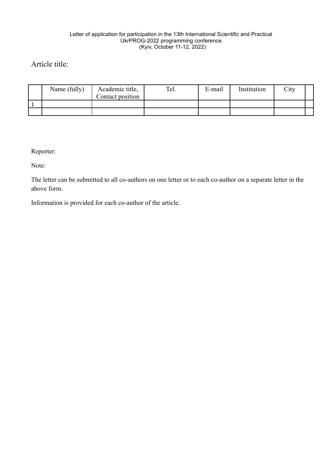#### Letter of application for participation in the 13th International Scientific and Practical UkrPROG-2022 programming conference (Kyiv, October 11-12, 2022)

## Article title:

| Name (fully) | Academic title,<br>Contact position | Tel. | E-mail | Institution | City |  |
|--------------|-------------------------------------|------|--------|-------------|------|--|
|              |                                     |      |        |             |      |  |
|              |                                     |      |        |             |      |  |
|              |                                     |      |        |             |      |  |

Reporter:

Note:

The letter can be submitted to all co-authors on one letter or to each co-author on a separate letter in the above form.

Information is provided for each co-author of the article.